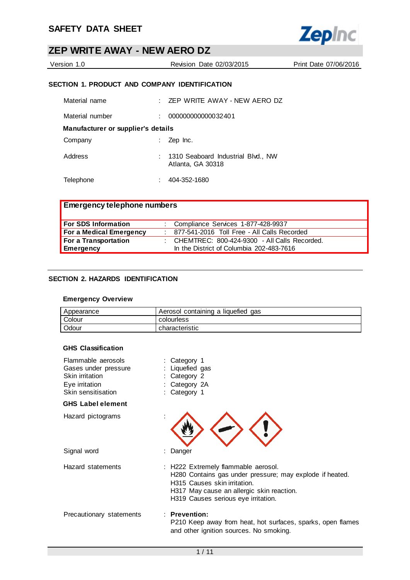

| Version 1.0 | Revision Date 02/03/2015 | Print Date 07/06/2016 |
|-------------|--------------------------|-----------------------|
|             |                          |                       |

### **SECTION 1. PRODUCT AND COMPANY IDENTIFICATION**

| Material name                      |    | $\pm$ ZEP WRITE AWAY - NEW AERO DZ                        |
|------------------------------------|----|-----------------------------------------------------------|
| Material number                    | t. | 000000000000032401                                        |
| Manufacturer or supplier's details |    |                                                           |
| Company                            |    | Zep Inc.                                                  |
| Address                            |    | : 1310 Seaboard Industrial Blvd., NW<br>Atlanta, GA 30318 |
| Telephone                          |    | 404-352-1680                                              |

| <b>Emergency telephone numbers</b> |  |                                                |  |
|------------------------------------|--|------------------------------------------------|--|
| <b>For SDS Information</b>         |  | : Compliance Services 1-877-428-9937           |  |
| <b>For a Medical Emergency</b>     |  | : 877-541-2016 Toll Free - All Calls Recorded  |  |
| For a Transportation               |  | : CHEMTREC: 800-424-9300 - All Calls Recorded. |  |
| Emergency                          |  | In the District of Columbia 202-483-7616       |  |

### **SECTION 2. HAZARDS IDENTIFICATION**

### **Emergency Overview**

| Appearance | Aerosol containing a liquefied gas |
|------------|------------------------------------|
| Colour     | colourless                         |
| Odour      | characteristic                     |

#### **GHS Classification**

| Flammable aerosols<br>Gases under pressure<br>Skin irritation<br>Eye irritation<br>Skin sensitisation | : Category 1<br>: Liquefied gas<br>Category 2<br>Category 2A<br>Category 1                                                                                                                                          |
|-------------------------------------------------------------------------------------------------------|---------------------------------------------------------------------------------------------------------------------------------------------------------------------------------------------------------------------|
| <b>GHS Label element</b>                                                                              |                                                                                                                                                                                                                     |
| Hazard pictograms                                                                                     |                                                                                                                                                                                                                     |
| Signal word                                                                                           | Danger                                                                                                                                                                                                              |
| Hazard statements                                                                                     | : H222 Extremely flammable aerosol.<br>H280 Contains gas under pressure; may explode if heated.<br>H315 Causes skin irritation.<br>H317 May cause an allergic skin reaction.<br>H319 Causes serious eye irritation. |
| Precautionary statements                                                                              | $:$ Prevention:<br>P210 Keep away from heat, hot surfaces, sparks, open flames<br>and other ignition sources. No smoking.                                                                                           |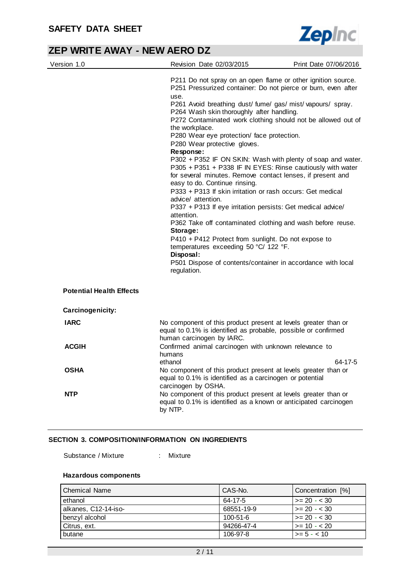

| Version 1.0                     | Revision Date 02/03/2015                                                                                                                                                                                                                                                                                                                                                                                                                                                                                                                                                                                                                                                                                                                                                                                                                                                                                                                                                                                                                                                                         | Print Date 07/06/2016 |
|---------------------------------|--------------------------------------------------------------------------------------------------------------------------------------------------------------------------------------------------------------------------------------------------------------------------------------------------------------------------------------------------------------------------------------------------------------------------------------------------------------------------------------------------------------------------------------------------------------------------------------------------------------------------------------------------------------------------------------------------------------------------------------------------------------------------------------------------------------------------------------------------------------------------------------------------------------------------------------------------------------------------------------------------------------------------------------------------------------------------------------------------|-----------------------|
|                                 | P211 Do not spray on an open flame or other ignition source.<br>P251 Pressurized container: Do not pierce or burn, even after<br>use.<br>P261 Avoid breathing dust/ fume/ gas/ mist/ vapours/ spray.<br>P264 Wash skin thoroughly after handling.<br>P272 Contaminated work clothing should not be allowed out of<br>the workplace.<br>P280 Wear eye protection/ face protection.<br>P280 Wear protective gloves.<br>Response:<br>P302 + P352 IF ON SKIN: Wash with plenty of soap and water.<br>P305 + P351 + P338 IF IN EYES: Rinse cautiously with water<br>for several minutes. Remove contact lenses, if present and<br>easy to do. Continue rinsing.<br>P333 + P313 If skin irritation or rash occurs: Get medical<br>advice/ attention.<br>P337 + P313 If eye irritation persists: Get medical advice/<br>attention.<br>P362 Take off contaminated clothing and wash before reuse.<br>Storage:<br>P410 + P412 Protect from sunlight. Do not expose to<br>temperatures exceeding 50 °C/ 122 °F.<br>Disposal:<br>P501 Dispose of contents/container in accordance with local<br>regulation. |                       |
| <b>Potential Health Effects</b> |                                                                                                                                                                                                                                                                                                                                                                                                                                                                                                                                                                                                                                                                                                                                                                                                                                                                                                                                                                                                                                                                                                  |                       |
| Carcinogenicity:                |                                                                                                                                                                                                                                                                                                                                                                                                                                                                                                                                                                                                                                                                                                                                                                                                                                                                                                                                                                                                                                                                                                  |                       |
| <b>IARC</b>                     | No component of this product present at levels greater than or<br>equal to 0.1% is identified as probable, possible or confirmed<br>human carcinogen by IARC.                                                                                                                                                                                                                                                                                                                                                                                                                                                                                                                                                                                                                                                                                                                                                                                                                                                                                                                                    |                       |
| <b>ACGIH</b>                    | Confirmed animal carcinogen with unknown relevance to<br>humans<br>ethanol                                                                                                                                                                                                                                                                                                                                                                                                                                                                                                                                                                                                                                                                                                                                                                                                                                                                                                                                                                                                                       | 64-17-5               |
| <b>OSHA</b>                     | No component of this product present at levels greater than or<br>equal to 0.1% is identified as a carcinogen or potential<br>carcinogen by OSHA.                                                                                                                                                                                                                                                                                                                                                                                                                                                                                                                                                                                                                                                                                                                                                                                                                                                                                                                                                |                       |
| <b>NTP</b>                      | No component of this product present at levels greater than or<br>equal to 0.1% is identified as a known or anticipated carcinogen<br>by NTP.                                                                                                                                                                                                                                                                                                                                                                                                                                                                                                                                                                                                                                                                                                                                                                                                                                                                                                                                                    |                       |

#### **SECTION 3. COMPOSITION/INFORMATION ON INGREDIENTS**

Substance / Mixture : Mixture

#### **Hazardous components**

| l Chemical Name      | CAS-No.    | Concentration [%]    |
|----------------------|------------|----------------------|
| ethanol              | 64-17-5    | $\ge$ 20 - < 30      |
| alkanes, C12-14-iso- | 68551-19-9 | $\ge$ = 20 - < 30    |
| benzyl alcohol       | 100-51-6   | $\vert$ >= 20 - < 30 |
| Citrus, ext.         | 94266-47-4 | $\vert$ >= 10 - < 20 |
| butane               | 106-97-8   | $\ge$ = 5 - < 10     |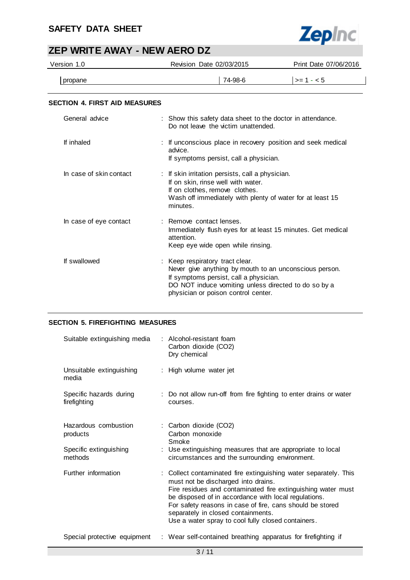# **SAFETY DATA SHEET**



# **ZEP WRITE AWAY - NEW AERO DZ**

| Version 1.0                          | Revision Date 02/03/2015                                                                                                                                                                          |                                                                                                                                                                                                 | Print Date 07/06/2016 |
|--------------------------------------|---------------------------------------------------------------------------------------------------------------------------------------------------------------------------------------------------|-------------------------------------------------------------------------------------------------------------------------------------------------------------------------------------------------|-----------------------|
| propane                              |                                                                                                                                                                                                   | 74-98-6                                                                                                                                                                                         | $>= 1 - 5$            |
| <b>SECTION 4. FIRST AID MEASURES</b> |                                                                                                                                                                                                   |                                                                                                                                                                                                 |                       |
| General advice                       |                                                                                                                                                                                                   | : Show this safety data sheet to the doctor in attendance.<br>Do not leave the victim unattended.                                                                                               |                       |
| If inhaled                           | advice.                                                                                                                                                                                           | : If unconscious place in recovery position and seek medical<br>If symptoms persist, call a physician.                                                                                          |                       |
| In case of skin contact              | : If skin irritation persists, call a physician.<br>If on skin, rinse well with water.<br>If on clothes, remove clothes.<br>Wash off immediately with plenty of water for at least 15<br>minutes. |                                                                                                                                                                                                 |                       |
| In case of eye contact               | : Remove contact lenses.<br>attention.                                                                                                                                                            | Immediately flush eyes for at least 15 minutes. Get medical<br>Keep eye wide open while rinsing.                                                                                                |                       |
| If swallowed                         | Keep respiratory tract clear.                                                                                                                                                                     | Never give anything by mouth to an unconscious person.<br>If symptoms persist, call a physician.<br>DO NOT induce vomiting unless directed to do so by a<br>physician or poison control center. |                       |

### **SECTION 5. FIREFIGHTING MEASURES**

| Suitable extinguishing media            | : Alcohol-resistant foam<br>Carbon dioxide (CO2)<br>Dry chemical                                                                                                                                                                                                                                                                                                                         |
|-----------------------------------------|------------------------------------------------------------------------------------------------------------------------------------------------------------------------------------------------------------------------------------------------------------------------------------------------------------------------------------------------------------------------------------------|
| Unsuitable extinguishing<br>media       | : High volume water jet                                                                                                                                                                                                                                                                                                                                                                  |
| Specific hazards during<br>firefighting | : Do not allow run-off from fire fighting to enter drains or water<br>courses.                                                                                                                                                                                                                                                                                                           |
| Hazardous combustion<br>products        | : Carbon dioxide (CO2)<br>Carbon monoxide<br>Smoke                                                                                                                                                                                                                                                                                                                                       |
| Specific extinguishing<br>methods       | : Use extinguishing measures that are appropriate to local<br>circumstances and the surrounding environment.                                                                                                                                                                                                                                                                             |
| Further information                     | : Collect contaminated fire extinguishing water separately. This<br>must not be discharged into drains.<br>Fire residues and contaminated fire extinguishing water must<br>be disposed of in accordance with local regulations.<br>For safety reasons in case of fire, cans should be stored<br>separately in closed containments.<br>Use a water spray to cool fully closed containers. |
| Special protective equipment            | : Wear self-contained breathing apparatus for firefighting if                                                                                                                                                                                                                                                                                                                            |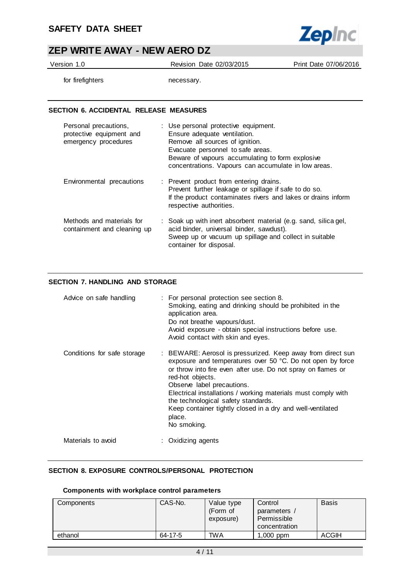

Version 1.0 Revision Date 02/03/2015 Print Date 07/06/2016

for firefighters necessary.

#### **SECTION 6. ACCIDENTAL RELEASE MEASURES**

| Personal precautions,<br>protective equipment and<br>emergency procedures | : Use personal protective equipment.<br>Ensure adequate ventilation.<br>Remove all sources of ignition.<br>Evacuate personnel to safe areas.<br>Beware of vapours accumulating to form explosive<br>concentrations. Vapours can accumulate in low areas. |
|---------------------------------------------------------------------------|----------------------------------------------------------------------------------------------------------------------------------------------------------------------------------------------------------------------------------------------------------|
| Environmental precautions                                                 | : Prevent product from entering drains.<br>Prevent further leakage or spillage if safe to do so.<br>If the product contaminates rivers and lakes or drains inform<br>respective authorities.                                                             |
| Methods and materials for<br>containment and cleaning up                  | : Soak up with inert absorbent material (e.g. sand, silica gel,<br>acid binder, universal binder, sawdust).<br>Sweep up or vacuum up spillage and collect in suitable<br>container for disposal.                                                         |

### **SECTION 7. HANDLING AND STORAGE**

| Advice on safe handling     | : For personal protection see section 8.<br>Smoking, eating and drinking should be prohibited in the<br>application area.<br>Do not breathe vapours/dust.<br>Avoid exposure - obtain special instructions before use.<br>Avoid contact with skin and eyes.                                                                                                                                                                                 |
|-----------------------------|--------------------------------------------------------------------------------------------------------------------------------------------------------------------------------------------------------------------------------------------------------------------------------------------------------------------------------------------------------------------------------------------------------------------------------------------|
| Conditions for safe storage | : BEWARE: Aerosol is pressurized. Keep away from direct sun<br>exposure and temperatures over 50 °C. Do not open by force<br>or throw into fire even after use. Do not spray on flames or<br>red-hot objects.<br>Observe label precautions.<br>Electrical installations / working materials must comply with<br>the technological safety standards.<br>Keep container tightly closed in a dry and well-ventilated<br>place.<br>No smoking. |
| Materials to avoid          | : Oxidizing agents                                                                                                                                                                                                                                                                                                                                                                                                                         |

### **SECTION 8. EXPOSURE CONTROLS/PERSONAL PROTECTION**

#### **Components with workplace control parameters**

| Components | CAS-No. | Value type<br>(Form of<br>exposure) | Control<br>parameters<br>Permissible<br>concentration | <b>Basis</b> |
|------------|---------|-------------------------------------|-------------------------------------------------------|--------------|
| ethanol    | 64-17-5 | <b>TWA</b>                          | $1,000$ ppm                                           | <b>ACGIH</b> |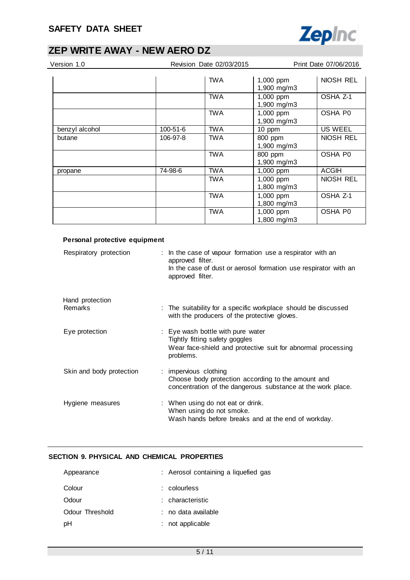

| Version 1.0    |          | Revision Date 02/03/2015 |                          | Print Date 07/06/2016 |
|----------------|----------|--------------------------|--------------------------|-----------------------|
|                |          | <b>TWA</b>               | 1,000 ppm<br>1,900 mg/m3 | NIOSH REL             |
|                |          | <b>TWA</b>               | 1,000 ppm<br>1,900 mg/m3 | OSHA Z-1              |
|                |          | <b>TWA</b>               | 1,000 ppm<br>1,900 mg/m3 | OSHA P0               |
| benzyl alcohol | 100-51-6 | <b>TWA</b>               | 10 ppm                   | US WEEL               |
| butane         | 106-97-8 | <b>TWA</b>               | 800 ppm                  | NIOSH REL             |
|                |          |                          | 1,900 mg/m3              |                       |
|                |          | <b>TWA</b>               | 800 ppm<br>1,900 mg/m3   | OSHA P0               |
| propane        | 74-98-6  | TWA                      | 1,000 ppm                | <b>ACGIH</b>          |
|                |          | <b>TWA</b>               | 1,000 ppm<br>1,800 mg/m3 | NIOSH REL             |
|                |          | <b>TWA</b>               | 1,000 ppm<br>1,800 mg/m3 | OSHA Z-1              |
|                |          | <b>TWA</b>               | 1,000 ppm<br>1,800 mg/m3 | OSHA P0               |

| Personal protective equipment |                                                                                                                                                                       |
|-------------------------------|-----------------------------------------------------------------------------------------------------------------------------------------------------------------------|
| Respiratory protection        | : In the case of vapour formation use a respirator with an<br>approved filter.<br>In the case of dust or aerosol formation use respirator with an<br>approved filter. |
| Hand protection               |                                                                                                                                                                       |
| Remarks                       | : The suitability for a specific workplace should be discussed<br>with the producers of the protective gloves.                                                        |
| Eye protection                | : Eye wash bottle with pure water<br>Tightly fitting safety goggles<br>Wear face-shield and protective suit for abnormal processing<br>problems.                      |
| Skin and body protection      | : impervious clothing<br>Choose body protection according to the amount and<br>concentration of the dangerous substance at the work place.                            |
| Hygiene measures              | : When using do not eat or drink.<br>When using do not smoke.<br>Wash hands before breaks and at the end of workday.                                                  |

### **SECTION 9. PHYSICAL AND CHEMICAL PROPERTIES**

| Appearance      | : Aerosol containing a liquefied gas |
|-----------------|--------------------------------------|
| Colour          | $:$ colourless                       |
| Odour           | : characteristic                     |
| Odour Threshold | ∴no data available                   |
| pН              | : not applicable                     |
|                 |                                      |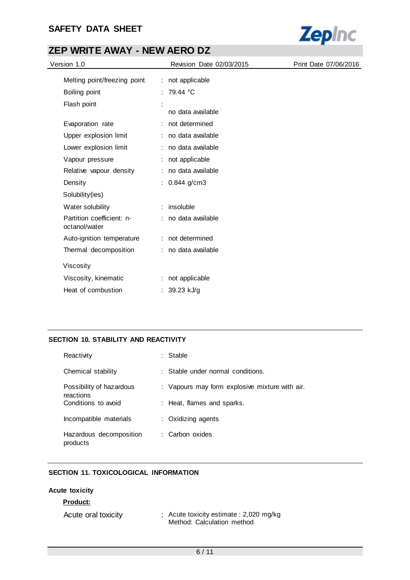## **SAFETY DATA SHEET**



# **ZEP WRITE AWAY - NEW AERO DZ**

| Version 1.0                                | Revision Date 02/03/2015 | Print Date 07/06/2016 |
|--------------------------------------------|--------------------------|-----------------------|
| Melting point/freezing point               | : not applicable         |                       |
| Boiling point                              | : 79.44 °C               |                       |
| Flash point                                | no data available        |                       |
| Evaporation rate                           | : not determined         |                       |
| Upper explosion limit                      | : no data available      |                       |
| Lower explosion limit                      | no data available        |                       |
| Vapour pressure                            | : not applicable         |                       |
| Relative vapour density                    | : no data available      |                       |
| Density                                    | : $0.844$ g/cm3          |                       |
| Solubility(ies)                            |                          |                       |
| Water solubility                           | : insoluble              |                       |
| Partition coefficient: n-<br>octanol/water | : no data available      |                       |
| Auto-ignition temperature                  | : not determined         |                       |
| Thermal decomposition                      | : no data available      |                       |
| Viscosity                                  |                          |                       |
| Viscosity, kinematic                       | : not applicable         |                       |
| Heat of combustion                         | : $39.23$ kJ/g           |                       |

### **SECTION 10. STABILITY AND REACTIVITY**

| Reactivity                            | Stable                                         |
|---------------------------------------|------------------------------------------------|
| Chemical stability                    | : Stable under normal conditions.              |
| Possibility of hazardous<br>reactions | : Vapours may form explosive mixture with air. |
| Conditions to avoid                   | : Heat, flames and sparks.                     |
| Incompatible materials                | : Oxidizing agents                             |
| Hazardous decomposition<br>products   | : Carbon oxides                                |

### **SECTION 11. TOXICOLOGICAL INFORMATION**

#### **Acute toxicity**

#### **Product:**

| Acute oral toxicity | : Acute toxicity estimate : 2,020 mg/kg |
|---------------------|-----------------------------------------|
|                     | Method: Calculation method              |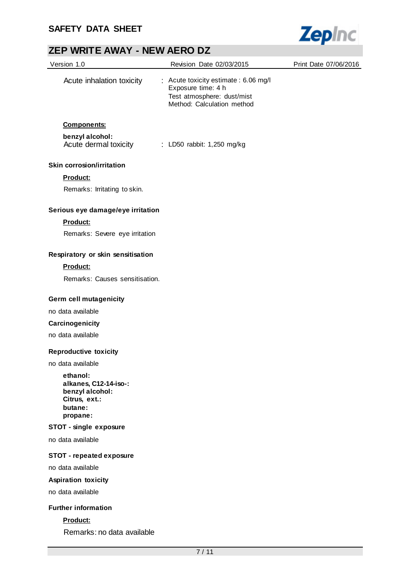

| Version 1.0                                                                                  | Revision Date 02/03/2015                                                                                                | Print Date 07/06/2016 |
|----------------------------------------------------------------------------------------------|-------------------------------------------------------------------------------------------------------------------------|-----------------------|
| Acute inhalation toxicity                                                                    | : Acute toxicity estimate : 6.06 mg/l<br>Exposure time: 4 h<br>Test atmosphere: dust/mist<br>Method: Calculation method |                       |
| <b>Components:</b>                                                                           |                                                                                                                         |                       |
| benzyl alcohol:<br>Acute dermal toxicity                                                     | : LD50 rabbit: 1,250 mg/kg                                                                                              |                       |
| <b>Skin corrosion/irritation</b>                                                             |                                                                                                                         |                       |
| Product:                                                                                     |                                                                                                                         |                       |
| Remarks: Irritating to skin.                                                                 |                                                                                                                         |                       |
| Serious eye damage/eye irritation                                                            |                                                                                                                         |                       |
| <b>Product:</b>                                                                              |                                                                                                                         |                       |
| Remarks: Severe eye irritation                                                               |                                                                                                                         |                       |
| Respiratory or skin sensitisation                                                            |                                                                                                                         |                       |
| Product:                                                                                     |                                                                                                                         |                       |
| Remarks: Causes sensitisation.                                                               |                                                                                                                         |                       |
| Germ cell mutagenicity                                                                       |                                                                                                                         |                       |
| no data available                                                                            |                                                                                                                         |                       |
| Carcinogenicity                                                                              |                                                                                                                         |                       |
| no data available                                                                            |                                                                                                                         |                       |
| <b>Reproductive toxicity</b>                                                                 |                                                                                                                         |                       |
| no data available                                                                            |                                                                                                                         |                       |
| ethanol:<br>alkanes, C12-14-iso-:<br>benzyl alcohol:<br>Citrus, ext.:<br>butane:<br>propane: |                                                                                                                         |                       |
| <b>STOT - single exposure</b>                                                                |                                                                                                                         |                       |
| no data available                                                                            |                                                                                                                         |                       |
| <b>STOT - repeated exposure</b>                                                              |                                                                                                                         |                       |
| no data available                                                                            |                                                                                                                         |                       |
| <b>Aspiration toxicity</b>                                                                   |                                                                                                                         |                       |
| no data available                                                                            |                                                                                                                         |                       |
| <b>Further information</b>                                                                   |                                                                                                                         |                       |
| Product:                                                                                     |                                                                                                                         |                       |

Remarks: no data available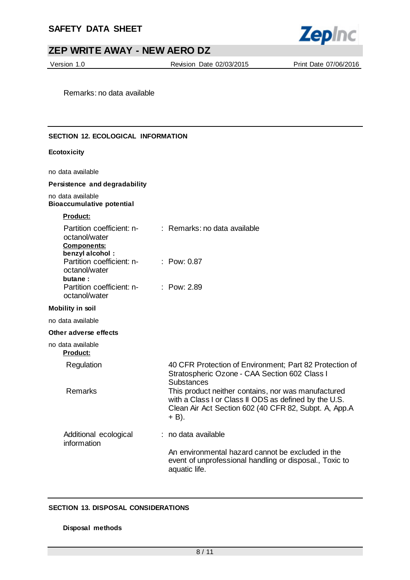

Version 1.0 Revision Date 02/03/2015 Print Date 07/06/2016

Remarks: no data available

#### **SECTION 12. ECOLOGICAL INFORMATION**

#### **Ecotoxicity**

no data available

#### **Persistence and degradability**

no data available **Bioaccumulative potential**

#### **Product:**

| Partition coefficient: n-<br>octanol/water<br><b>Components:</b>         | : Remarks: no data available                                                                                                                                                   |
|--------------------------------------------------------------------------|--------------------------------------------------------------------------------------------------------------------------------------------------------------------------------|
| benzyl alcohol:<br>Partition coefficient: n-<br>octanol/water<br>butane: | : Pow: 0.87                                                                                                                                                                    |
| Partition coefficient: n-<br>octanol/water                               | : Pow: 2.89                                                                                                                                                                    |
| <b>Mobility in soil</b>                                                  |                                                                                                                                                                                |
| no data available                                                        |                                                                                                                                                                                |
| Other adverse effects                                                    |                                                                                                                                                                                |
| no data available<br><b>Product:</b>                                     |                                                                                                                                                                                |
| Regulation                                                               | 40 CFR Protection of Environment; Part 82 Protection of<br>Stratospheric Ozone - CAA Section 602 Class I<br><b>Substances</b>                                                  |
| Remarks                                                                  | This product neither contains, nor was manufactured<br>with a Class I or Class II ODS as defined by the U.S.<br>Clean Air Act Section 602 (40 CFR 82, Subpt. A, App.A<br>+ B). |
| Additional ecological<br>information                                     | : no data available                                                                                                                                                            |
|                                                                          | An environmental hazard cannot be excluded in the<br>event of unprofessional handling or disposal., Toxic to<br>aquatic life.                                                  |

#### **SECTION 13. DISPOSAL CONSIDERATIONS**

#### **Disposal methods**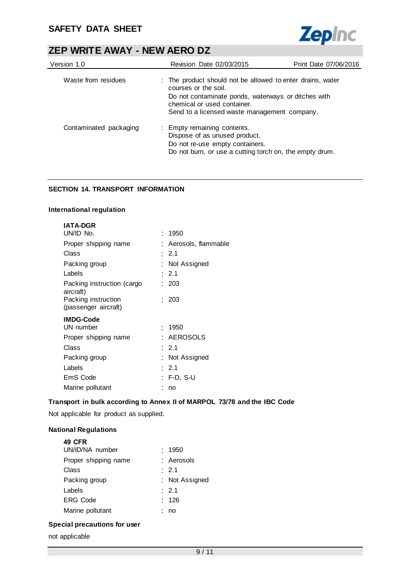

| Version 1.0            | <b>Revision Date 02/03/2015</b>                                                                                                                                                                                          | Print Date 07/06/2016 |
|------------------------|--------------------------------------------------------------------------------------------------------------------------------------------------------------------------------------------------------------------------|-----------------------|
| Waste from residues    | : The product should not be allowed to enter drains, water<br>courses or the soil.<br>Do not contaminate ponds, waterways or ditches with<br>chemical or used container.<br>Send to a licensed waste management company. |                       |
| Contaminated packaging | : Empty remaining contents.<br>Dispose of as unused product.<br>Do not re-use empty containers.<br>Do not burn, or use a cutting torch on, the empty drum.                                                               |                       |

### **SECTION 14. TRANSPORT INFORMATION**

#### **International regulation**

| <b>IATA-DGR</b>                             |                       |
|---------------------------------------------|-----------------------|
| UN/ID No.                                   | : 1950                |
| Proper shipping name                        | : Aerosols, flammable |
| Class                                       | $\cdot$ 2.1           |
| Packing group                               | : Not Assigned        |
| Labels                                      | : 2.1                 |
| Packing instruction (cargo<br>aircraft)     | : 203                 |
| Packing instruction<br>(passenger aircraft) | : 203                 |
| <b>IMDG-Code</b>                            |                       |
| UN number                                   | : 1950                |
| Proper shipping name                        | <b>AEROSOLS</b>       |
| Class                                       | $\cdot$ 2.1           |
| Packing group                               | : Not Assigned        |
| Labels                                      | $\cdot$ 2.1           |
| EmS Code                                    | : F-D. S-U            |
| Marine pollutant                            | no                    |

### **Transport in bulk according to Annex II of MARPOL 73/78 and the IBC Code**

Not applicable for product as supplied.

### **National Regulations**

| <b>49 CFR</b>        |                |
|----------------------|----------------|
| UN/ID/NA number      | : 1950         |
| Proper shipping name | : Aerosols     |
| Class                | : 2.1          |
| Packing group        | : Not Assigned |
| Labels               | : 2.1          |
| <b>ERG Code</b>      | : 126          |
| Marine pollutant     | no             |
|                      |                |

### **Special precautions for user**

not applicable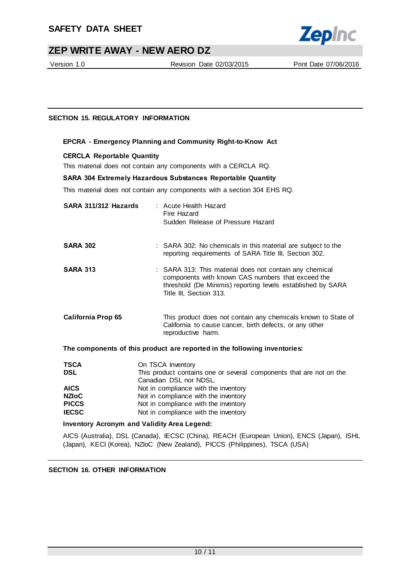

Version 1.0 Revision Date 02/03/2015 Print Date 07/06/2016

### **SECTION 15. REGULATORY INFORMATION**

#### **EPCRA - Emergency Planning and Community Right-to-Know Act**

#### **CERCLA Reportable Quantity**

This material does not contain any components with a CERCLA RQ.

#### **SARA 304 Extremely Hazardous Substances Reportable Quantity**

This material does not contain any components with a section 304 EHS RQ.

| SARA 311/312 Hazards      | : Acute Health Hazard<br>Fire Hazard<br>Sudden Release of Pressure Hazard                                                                                                                              |
|---------------------------|--------------------------------------------------------------------------------------------------------------------------------------------------------------------------------------------------------|
| <b>SARA 302</b>           | : SARA 302: No chemicals in this material are subject to the<br>reporting requirements of SARA Title III, Section 302.                                                                                 |
| <b>SARA 313</b>           | : SARA 313: This material does not contain any chemical<br>components with known CAS numbers that exceed the<br>threshold (De Minimis) reporting levels established by SARA<br>Title III, Section 313. |
| <b>California Prop 65</b> | This product does not contain any chemicals known to State of<br>California to cause cancer, birth defects, or any other<br>reproductive harm.                                                         |
|                           | The components of this product are reported in the following inventories:                                                                                                                              |
| <b>TSCA</b><br>DSL        | On TSCA Inventory<br>This product contains one or several components that are not on the                                                                                                               |

| 15GA         | UN ISUA Inventory                                                   |
|--------------|---------------------------------------------------------------------|
| <b>DSL</b>   | This product contains one or several components that are not on the |
|              | Canadian DSL nor NDSL.                                              |
| <b>AICS</b>  | Not in compliance with the inventory                                |
| NZIoC        | Not in compliance with the inventory                                |
| <b>PICCS</b> | Not in compliance with the inventory                                |
| <b>IECSC</b> | Not in compliance with the inventory                                |
|              |                                                                     |

#### **Inventory Acronym and Validity Area Legend:**

AICS (Australia), DSL (Canada), IECSC (China), REACH (European Union), ENCS (Japan), ISHL (Japan), KECI (Korea), NZIoC (New Zealand), PICCS (Philippines), TSCA (USA)

#### **SECTION 16. OTHER INFORMATION**